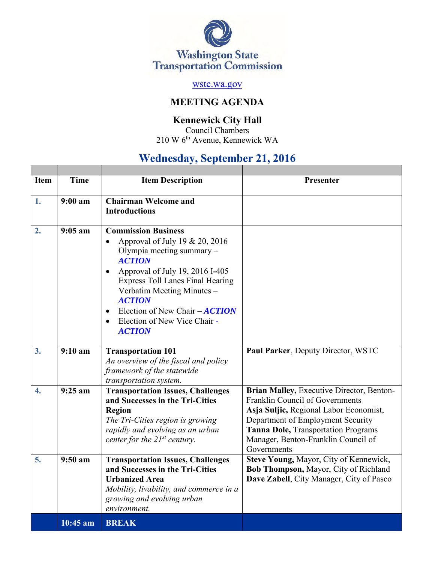

## [wstc.wa.gov](file:///C:/Users/sawtele/Desktop/wstc.wa.gov)

# **MEETING AGENDA**

### **Kennewick City Hall**

Council Chambers 210 W 6th Avenue, Kennewick WA

# **Wednesday, September 21, 2016**

| <b>Item</b>      | <b>Time</b> | <b>Item Description</b>                                                                                                                                                                                                                                                                                                                                                         | Presenter                                                                                                                                                                                                                                                |
|------------------|-------------|---------------------------------------------------------------------------------------------------------------------------------------------------------------------------------------------------------------------------------------------------------------------------------------------------------------------------------------------------------------------------------|----------------------------------------------------------------------------------------------------------------------------------------------------------------------------------------------------------------------------------------------------------|
|                  |             |                                                                                                                                                                                                                                                                                                                                                                                 |                                                                                                                                                                                                                                                          |
| 1.               | 9:00 a m    | <b>Chairman Welcome and</b><br><b>Introductions</b>                                                                                                                                                                                                                                                                                                                             |                                                                                                                                                                                                                                                          |
| 2.               | $9:05$ am   | <b>Commission Business</b><br>Approval of July 19 & 20, 2016<br>$\bullet$<br>Olympia meeting summary -<br><b>ACTION</b><br>Approval of July 19, 2016 I-405<br>$\bullet$<br><b>Express Toll Lanes Final Hearing</b><br>Verbatim Meeting Minutes -<br><b>ACTION</b><br>Election of New Chair $-ACTION$<br>$\bullet$<br>Election of New Vice Chair -<br>$\bullet$<br><b>ACTION</b> |                                                                                                                                                                                                                                                          |
| 3.               | 9:10 a m    | <b>Transportation 101</b><br>An overview of the fiscal and policy<br>framework of the statewide<br>transportation system.                                                                                                                                                                                                                                                       | Paul Parker, Deputy Director, WSTC                                                                                                                                                                                                                       |
| $\overline{4}$ . | $9:25$ am   | <b>Transportation Issues, Challenges</b><br>and Successes in the Tri-Cities<br><b>Region</b><br>The Tri-Cities region is growing<br>rapidly and evolving as an urban<br>center for the $21^{st}$ century.                                                                                                                                                                       | Brian Malley, Executive Director, Benton-<br>Franklin Council of Governments<br>Asja Suljic, Regional Labor Economist,<br>Department of Employment Security<br>Tanna Dole, Transportation Programs<br>Manager, Benton-Franklin Council of<br>Governments |
| 5.               | $9:50$ am   | <b>Transportation Issues, Challenges</b><br>and Successes in the Tri-Cities<br><b>Urbanized Area</b><br>Mobility, livability, and commerce in a<br>growing and evolving urban<br>environment.                                                                                                                                                                                   | Steve Young, Mayor, City of Kennewick,<br>Bob Thompson, Mayor, City of Richland<br>Dave Zabell, City Manager, City of Pasco                                                                                                                              |
|                  | 10:45 am    | <b>BREAK</b>                                                                                                                                                                                                                                                                                                                                                                    |                                                                                                                                                                                                                                                          |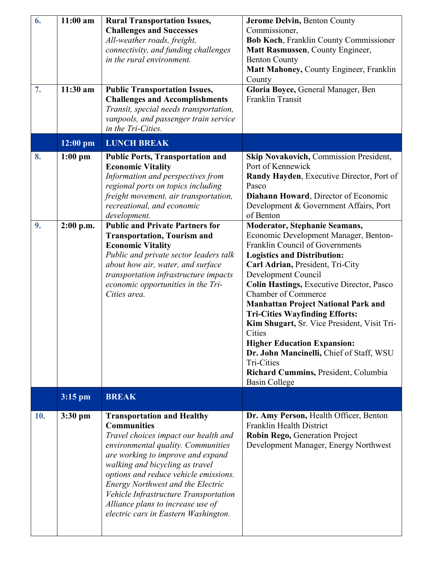| 6.<br>7. | $11:00$ am<br>11:30 am   | <b>Rural Transportation Issues,</b><br><b>Challenges and Successes</b><br>All-weather roads, freight,<br>connectivity, and funding challenges<br>in the rural environment.<br><b>Public Transportation Issues,</b><br><b>Challenges and Accomplishments</b><br>Transit, special needs transportation,<br>vanpools, and passenger train service<br>in the Tri-Cities.                                                                                                                                                            | Jerome Delvin, Benton County<br>Commissioner,<br><b>Bob Koch, Franklin County Commissioner</b><br>Matt Rasmussen, County Engineer,<br><b>Benton County</b><br>Matt Mahoney, County Engineer, Franklin<br>County<br>Gloria Boyce, General Manager, Ben<br>Franklin Transit                                                                                                                                                                                                                                                                                                                                                                                                                                     |
|----------|--------------------------|---------------------------------------------------------------------------------------------------------------------------------------------------------------------------------------------------------------------------------------------------------------------------------------------------------------------------------------------------------------------------------------------------------------------------------------------------------------------------------------------------------------------------------|---------------------------------------------------------------------------------------------------------------------------------------------------------------------------------------------------------------------------------------------------------------------------------------------------------------------------------------------------------------------------------------------------------------------------------------------------------------------------------------------------------------------------------------------------------------------------------------------------------------------------------------------------------------------------------------------------------------|
|          | $12:00$ pm               | <b>LUNCH BREAK</b>                                                                                                                                                                                                                                                                                                                                                                                                                                                                                                              |                                                                                                                                                                                                                                                                                                                                                                                                                                                                                                                                                                                                                                                                                                               |
| 8.<br>9. | $1:00$ pm<br>$2:00$ p.m. | <b>Public Ports, Transportation and</b><br><b>Economic Vitality</b><br>Information and perspectives from<br>regional ports on topics including<br>freight movement, air transportation,<br>recreational, and economic<br>development.<br><b>Public and Private Partners for</b><br><b>Transportation, Tourism and</b><br><b>Economic Vitality</b><br>Public and private sector leaders talk<br>about how air, water, and surface<br>transportation infrastructure impacts<br>economic opportunities in the Tri-<br>Cities area. | Skip Novakovich, Commission President,<br>Port of Kennewick<br>Randy Hayden, Executive Director, Port of<br>Pasco<br>Diahann Howard, Director of Economic<br>Development & Government Affairs, Port<br>of Benton<br><b>Moderator, Stephanie Seamans,</b><br>Economic Development Manager, Benton-<br>Franklin Council of Governments<br><b>Logistics and Distribution:</b><br>Carl Adrian, President, Tri-City<br>Development Council<br><b>Colin Hastings, Executive Director, Pasco</b><br><b>Chamber of Commerce</b><br><b>Manhattan Project National Park and</b><br><b>Tri-Cities Wayfinding Efforts:</b><br>Kim Shugart, Sr. Vice President, Visit Tri-<br>Cities<br><b>Higher Education Expansion:</b> |
|          |                          |                                                                                                                                                                                                                                                                                                                                                                                                                                                                                                                                 | Dr. John Mancinelli, Chief of Staff, WSU<br>Tri-Cities<br>Richard Cummins, President, Columbia<br><b>Basin College</b>                                                                                                                                                                                                                                                                                                                                                                                                                                                                                                                                                                                        |
|          | 3:15 pm                  | <b>BREAK</b>                                                                                                                                                                                                                                                                                                                                                                                                                                                                                                                    |                                                                                                                                                                                                                                                                                                                                                                                                                                                                                                                                                                                                                                                                                                               |
| 10.      | $3:30$ pm                | <b>Transportation and Healthy</b><br><b>Communities</b><br>Travel choices impact our health and<br>environmental quality. Communities<br>are working to improve and expand<br>walking and bicycling as travel<br>options and reduce vehicle emissions.<br>Energy Northwest and the Electric<br>Vehicle Infrastructure Transportation<br>Alliance plans to increase use of<br>electric cars in Eastern Washington.                                                                                                               | Dr. Amy Person, Health Officer, Benton<br>Franklin Health District<br>Robin Rego, Generation Project<br>Development Manager, Energy Northwest                                                                                                                                                                                                                                                                                                                                                                                                                                                                                                                                                                 |